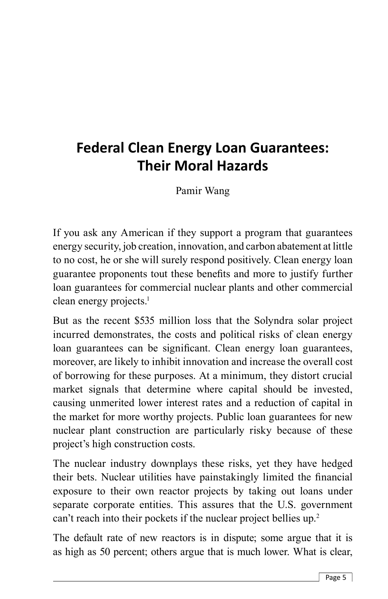# **Federal Clean Energy Loan Guarantees: Their Moral Hazards**

Pamir Wang

If you ask any American if they support a program that guarantees energy security, job creation, innovation, and carbon abatement at little to no cost, he or she will surely respond positively. Clean energy loan guarantee proponents tout these benefits and more to justify further loan guarantees for commercial nuclear plants and other commercial clean energy projects.<sup>1</sup>

But as the recent \$535 million loss that the Solyndra solar project incurred demonstrates, the costs and political risks of clean energy loan guarantees can be significant. Clean energy loan guarantees, moreover, are likely to inhibit innovation and increase the overall cost of borrowing for these purposes. At a minimum, they distort crucial market signals that determine where capital should be invested, causing unmerited lower interest rates and a reduction of capital in the market for more worthy projects. Public loan guarantees for new nuclear plant construction are particularly risky because of these project's high construction costs.

The nuclear industry downplays these risks, yet they have hedged their bets. Nuclear utilities have painstakingly limited the financial exposure to their own reactor projects by taking out loans under separate corporate entities. This assures that the U.S. government can't reach into their pockets if the nuclear project bellies up.<sup>2</sup>

The default rate of new reactors is in dispute; some argue that it is as high as 50 percent; others argue that is much lower. What is clear,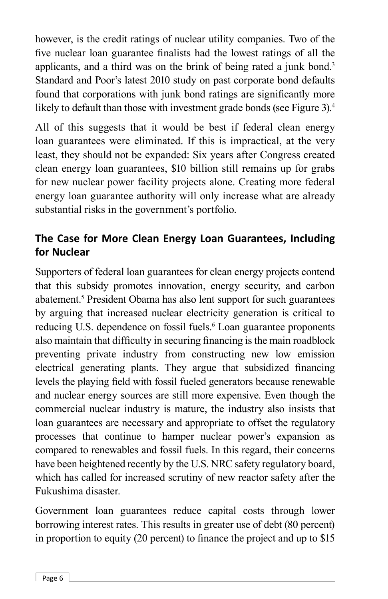however, is the credit ratings of nuclear utility companies. Two of the five nuclear loan guarantee finalists had the lowest ratings of all the applicants, and a third was on the brink of being rated a junk bond.<sup>3</sup> Standard and Poor's latest 2010 study on past corporate bond defaults found that corporations with junk bond ratings are significantly more likely to default than those with investment grade bonds (see Figure 3).<sup>4</sup>

All of this suggests that it would be best if federal clean energy loan guarantees were eliminated. If this is impractical, at the very least, they should not be expanded: Six years after Congress created clean energy loan guarantees, \$10 billion still remains up for grabs for new nuclear power facility projects alone. Creating more federal energy loan guarantee authority will only increase what are already substantial risks in the government's portfolio.

# **The Case for More Clean Energy Loan Guarantees, Including for Nuclear**

Supporters of federal loan guarantees for clean energy projects contend that this subsidy promotes innovation, energy security, and carbon abatement.5 President Obama has also lent support for such guarantees by arguing that increased nuclear electricity generation is critical to reducing U.S. dependence on fossil fuels.<sup>6</sup> Loan guarantee proponents also maintain that difficulty in securing financing is the main roadblock preventing private industry from constructing new low emission electrical generating plants. They argue that subsidized financing levels the playing field with fossil fueled generators because renewable and nuclear energy sources are still more expensive. Even though the commercial nuclear industry is mature, the industry also insists that loan guarantees are necessary and appropriate to offset the regulatory processes that continue to hamper nuclear power's expansion as compared to renewables and fossil fuels. In this regard, their concerns have been heightened recently by the U.S. NRC safety regulatory board, which has called for increased scrutiny of new reactor safety after the Fukushima disaster.

Government loan guarantees reduce capital costs through lower borrowing interest rates. This results in greater use of debt (80 percent) in proportion to equity (20 percent) to finance the project and up to  $$15$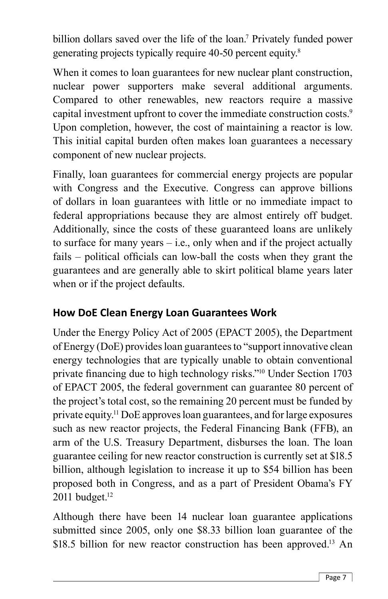billion dollars saved over the life of the loan.7 Privately funded power generating projects typically require 40-50 percent equity.8

When it comes to loan guarantees for new nuclear plant construction, nuclear power supporters make several additional arguments. Compared to other renewables, new reactors require a massive capital investment upfront to cover the immediate construction costs.<sup>9</sup> Upon completion, however, the cost of maintaining a reactor is low. This initial capital burden often makes loan guarantees a necessary component of new nuclear projects.

Finally, loan guarantees for commercial energy projects are popular with Congress and the Executive. Congress can approve billions of dollars in loan guarantees with little or no immediate impact to federal appropriations because they are almost entirely off budget. Additionally, since the costs of these guaranteed loans are unlikely to surface for many years  $-$  i.e., only when and if the project actually fails  $-$  political officials can low-ball the costs when they grant the guarantees and are generally able to skirt political blame years later when or if the project defaults.

#### **How DoE Clean Energy Loan Guarantees Work**

Under the Energy Policy Act of 2005 (EPACT 2005), the Department of Energy (DoE) provides loan guarantees to "support innovative clean energy technologies that are typically unable to obtain conventional private financing due to high technology risks."<sup>10</sup> Under Section 1703 of EPACT 2005, the federal government can guarantee 80 percent of the project's total cost, so the remaining 20 percent must be funded by private equity.11 DoE approves loan guarantees, and for large exposures such as new reactor projects, the Federal Financing Bank (FFB), an arm of the U.S. Treasury Department, disburses the loan. The loan guarantee ceiling for new reactor construction is currently set at \$18.5 billion, although legislation to increase it up to \$54 billion has been proposed both in Congress, and as a part of President Obama's FY 2011 budget. $12$ 

Although there have been 14 nuclear loan guarantee applications submitted since 2005, only one \$8.33 billion loan guarantee of the \$18.5 billion for new reactor construction has been approved.<sup>13</sup> An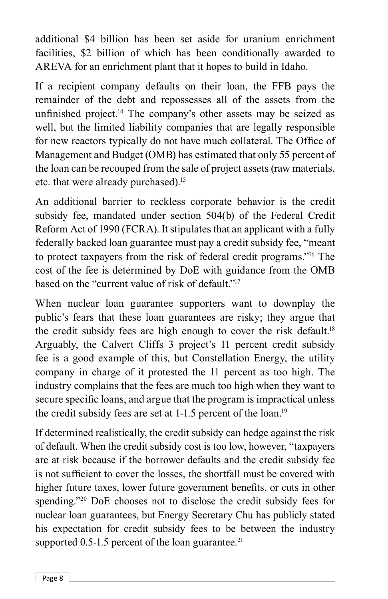additional \$4 billion has been set aside for uranium enrichment facilities, \$2 billion of which has been conditionally awarded to AREVA for an enrichment plant that it hopes to build in Idaho.

If a recipient company defaults on their loan, the FFB pays the remainder of the debt and repossesses all of the assets from the unfinished project.<sup>14</sup> The company's other assets may be seized as well, but the limited liability companies that are legally responsible for new reactors typically do not have much collateral. The Office of Management and Budget (OMB) has estimated that only 55 percent of the loan can be recouped from the sale of project assets (raw materials, etc. that were already purchased).15

An additional barrier to reckless corporate behavior is the credit subsidy fee, mandated under section 504(b) of the Federal Credit Reform Act of 1990 (FCRA). It stipulates that an applicant with a fully federally backed loan guarantee must pay a credit subsidy fee, "meant to protect taxpayers from the risk of federal credit programs."16 The cost of the fee is determined by DoE with guidance from the OMB based on the "current value of risk of default."<sup>17</sup>

When nuclear loan guarantee supporters want to downplay the public's fears that these loan guarantees are risky; they argue that the credit subsidy fees are high enough to cover the risk default.18 Arguably, the Calvert Cliffs 3 project's 11 percent credit subsidy fee is a good example of this, but Constellation Energy, the utility company in charge of it protested the 11 percent as too high. The industry complains that the fees are much too high when they want to secure specific loans, and argue that the program is impractical unless the credit subsidy fees are set at 1-1.5 percent of the loan.<sup>19</sup>

If determined realistically, the credit subsidy can hedge against the risk of default. When the credit subsidy cost is too low, however, "taxpayers are at risk because if the borrower defaults and the credit subsidy fee is not sufficient to cover the losses, the shortfall must be covered with higher future taxes, lower future government benefits, or cuts in other spending."<sup>20</sup> DoE chooses not to disclose the credit subsidy fees for nuclear loan guarantees, but Energy Secretary Chu has publicly stated his expectation for credit subsidy fees to be between the industry supported  $0.5$ -1.5 percent of the loan guarantee.<sup>21</sup>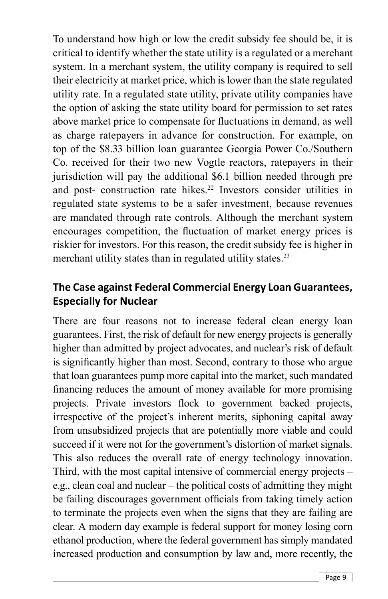To understand how high or low the credit subsidy fee should be, it is critical to identify whether the state utility is a regulated or a merchant system. In a merchant system, the utility company is required to sell their electricity at market price, which is lower than the state regulated utility rate. In a regulated state utility, private utility companies have the option of asking the state utility board for permission to set rates above market price to compensate for fluctuations in demand, as well as charge ratepayers in advance for construction. For example, on top of the \$8.33 billion loan guarantee Georgia Power Co./Southern Co. received for their two new Vogtle reactors, ratepayers in their jurisdiction will pay the additional \$6.1 billion needed through pre and post- construction rate hikes.<sup>22</sup> Investors consider utilities in regulated state systems to be a safer investment, because revenues are mandated through rate controls. Although the merchant system encourages competition, the fluctuation of market energy prices is riskier for investors. For this reason, the credit subsidy fee is higher in merchant utility states than in regulated utility states.<sup>23</sup>

#### **The Case against Federal Commercial Energy Loan Guarantees, Especially for Nuclear**

There are four reasons not to increase federal clean energy loan guarantees. First, the risk of default for new energy projects is generally higher than admitted by project advocates, and nuclear's risk of default is significantly higher than most. Second, contrary to those who argue that loan guarantees pump more capital into the market, such mandated financing reduces the amount of money available for more promising projects. Private investors flock to government backed projects, irrespective of the project's inherent merits, siphoning capital away from unsubsidized projects that are potentially more viable and could succeed if it were not for the government's distortion of market signals. This also reduces the overall rate of energy technology innovation. Third, with the most capital intensive of commercial energy projects – e.g., clean coal and nuclear – the political costs of admitting they might be failing discourages government officials from taking timely action to terminate the projects even when the signs that they are failing are clear. A modern day example is federal support for money losing corn ethanol production, where the federal government has simply mandated increased production and consumption by law and, more recently, the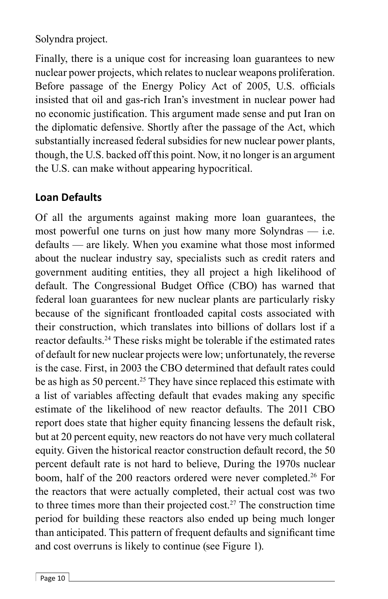Solyndra project.

Finally, there is a unique cost for increasing loan guarantees to new nuclear power projects, which relates to nuclear weapons proliferation. Before passage of the Energy Policy Act of 2005, U.S. officials insisted that oil and gas-rich Iran's investment in nuclear power had no economic justification. This argument made sense and put Iran on the diplomatic defensive. Shortly after the passage of the Act, which substantially increased federal subsidies for new nuclear power plants, though, the U.S. backed off this point. Now, it no longer is an argument the U.S. can make without appearing hypocritical.

### **Loan Defaults**

Of all the arguments against making more loan guarantees, the most powerful one turns on just how many more Solyndras — i.e. defaults — are likely. When you examine what those most informed about the nuclear industry say, specialists such as credit raters and government auditing entities, they all project a high likelihood of default. The Congressional Budget Office (CBO) has warned that federal loan guarantees for new nuclear plants are particularly risky because of the significant frontloaded capital costs associated with their construction, which translates into billions of dollars lost if a reactor defaults.24 These risks might be tolerable if the estimated rates of default for new nuclear projects were low; unfortunately, the reverse is the case. First, in 2003 the CBO determined that default rates could be as high as 50 percent.<sup>25</sup> They have since replaced this estimate with a list of variables affecting default that evades making any specific estimate of the likelihood of new reactor defaults. The 2011 CBO report does state that higher equity financing lessens the default risk, but at 20 percent equity, new reactors do not have very much collateral equity. Given the historical reactor construction default record, the 50 percent default rate is not hard to believe, During the 1970s nuclear boom, half of the 200 reactors ordered were never completed.<sup>26</sup> For the reactors that were actually completed, their actual cost was two to three times more than their projected cost.<sup>27</sup> The construction time period for building these reactors also ended up being much longer than anticipated. This pattern of frequent defaults and significant time and cost overruns is likely to continue (see Figure 1).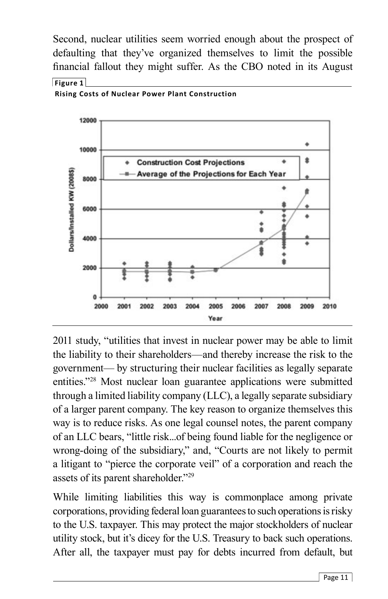Second, nuclear utilities seem worried enough about the prospect of defaulting that they've organized themselves to limit the possible financial fallout they might suffer. As the CBO noted in its August **Figure 1**



**Rising Costs of Nuclear Power Plant Construction**

2011 study, "utilities that invest in nuclear power may be able to limit the liability to their shareholders—and thereby increase the risk to the government— by structuring their nuclear facilities as legally separate entities."28 Most nuclear loan guarantee applications were submitted through a limited liability company (LLC), a legally separate subsidiary of a larger parent company. The key reason to organize themselves this way is to reduce risks. As one legal counsel notes, the parent company of an LLC bears, "little risk...of being found liable for the negligence or wrong-doing of the subsidiary," and, "Courts are not likely to permit a litigant to "pierce the corporate veil" of a corporation and reach the assets of its parent shareholder."29

While limiting liabilities this way is commonplace among private corporations, providing federal loan guarantees to such operations is risky to the U.S. taxpayer. This may protect the major stockholders of nuclear utility stock, but it's dicey for the U.S. Treasury to back such operations. After all, the taxpayer must pay for debts incurred from default, but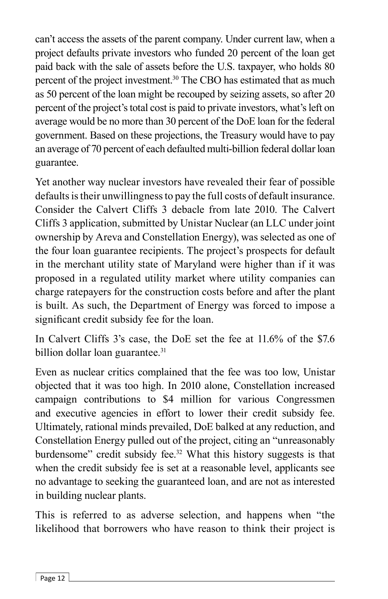can't access the assets of the parent company. Under current law, when a project defaults private investors who funded 20 percent of the loan get paid back with the sale of assets before the U.S. taxpayer, who holds 80 percent of the project investment.30 The CBO has estimated that as much as 50 percent of the loan might be recouped by seizing assets, so after 20 percent of the project's total cost is paid to private investors, what's left on average would be no more than 30 percent of the DoE loan for the federal government. Based on these projections, the Treasury would have to pay an average of 70 percent of each defaulted multi-billion federal dollar loan guarantee.

Yet another way nuclear investors have revealed their fear of possible defaults is their unwillingness to pay the full costs of default insurance. Consider the Calvert Cliffs 3 debacle from late 2010. The Calvert Cliffs 3 application, submitted by Unistar Nuclear (an LLC under joint ownership by Areva and Constellation Energy), was selected as one of the four loan guarantee recipients. The project's prospects for default in the merchant utility state of Maryland were higher than if it was proposed in a regulated utility market where utility companies can charge ratepayers for the construction costs before and after the plant is built. As such, the Department of Energy was forced to impose a significant credit subsidy fee for the loan.

In Calvert Cliffs 3's case, the DoE set the fee at 11.6% of the \$7.6 billion dollar loan guarantee.<sup>31</sup>

Even as nuclear critics complained that the fee was too low, Unistar objected that it was too high. In 2010 alone, Constellation increased campaign contributions to \$4 million for various Congressmen and executive agencies in effort to lower their credit subsidy fee. Ultimately, rational minds prevailed, DoE balked at any reduction, and Constellation Energy pulled out of the project, citing an "unreasonably burdensome" credit subsidy fee.<sup>32</sup> What this history suggests is that when the credit subsidy fee is set at a reasonable level, applicants see no advantage to seeking the guaranteed loan, and are not as interested in building nuclear plants.

This is referred to as adverse selection, and happens when "the likelihood that borrowers who have reason to think their project is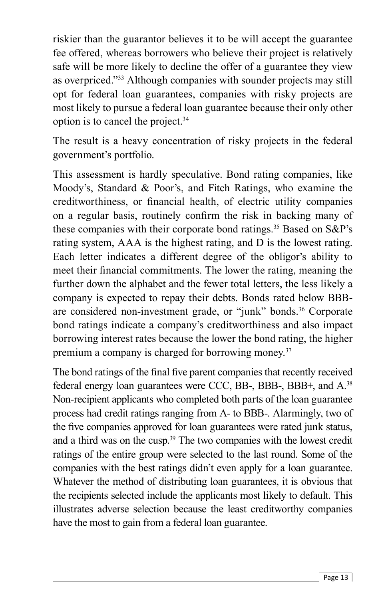riskier than the guarantor believes it to be will accept the guarantee fee offered, whereas borrowers who believe their project is relatively safe will be more likely to decline the offer of a guarantee they view as overpriced."33 Although companies with sounder projects may still opt for federal loan guarantees, companies with risky projects are most likely to pursue a federal loan guarantee because their only other option is to cancel the project.34

The result is a heavy concentration of risky projects in the federal government's portfolio.

This assessment is hardly speculative. Bond rating companies, like Moody's, Standard & Poor's, and Fitch Ratings, who examine the creditworthiness, or financial health, of electric utility companies on a regular basis, routinely confirm the risk in backing many of these companies with their corporate bond ratings.<sup>35</sup> Based on S&P's rating system, AAA is the highest rating, and D is the lowest rating. Each letter indicates a different degree of the obligor's ability to meet their financial commitments. The lower the rating, meaning the further down the alphabet and the fewer total letters, the less likely a company is expected to repay their debts. Bonds rated below BBBare considered non-investment grade, or "junk" bonds.<sup>36</sup> Corporate bond ratings indicate a company's creditworthiness and also impact borrowing interest rates because the lower the bond rating, the higher premium a company is charged for borrowing money.<sup>37</sup>

The bond ratings of the final five parent companies that recently received federal energy loan guarantees were CCC, BB-, BBB-, BBB+, and A.38 Non-recipient applicants who completed both parts of the loan guarantee process had credit ratings ranging from A- to BBB-. Alarmingly, two of the five companies approved for loan guarantees were rated junk status, and a third was on the cusp.39 The two companies with the lowest credit ratings of the entire group were selected to the last round. Some of the companies with the best ratings didn't even apply for a loan guarantee. Whatever the method of distributing loan guarantees, it is obvious that the recipients selected include the applicants most likely to default. This illustrates adverse selection because the least creditworthy companies have the most to gain from a federal loan guarantee.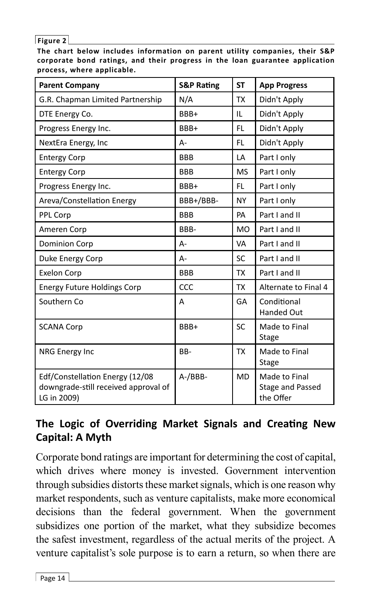#### **Figure 2**

**The chart below includes information on parent utility companies, their S&P corporate bond ratings, and their progress in the loan guarantee application process, where applicable.**

| <b>Parent Company</b>                                                                  | <b>S&amp;P Rating</b> | <b>ST</b> | <b>App Progress</b>                            |
|----------------------------------------------------------------------------------------|-----------------------|-----------|------------------------------------------------|
| G.R. Chapman Limited Partnership                                                       | N/A                   | <b>TX</b> | Didn't Apply                                   |
| DTE Energy Co.                                                                         | BBB+                  | IL        | Didn't Apply                                   |
| Progress Energy Inc.                                                                   | BBB+                  | FL.       | Didn't Apply                                   |
| NextEra Energy, Inc.                                                                   | А-                    | FL.       | Didn't Apply                                   |
| <b>Entergy Corp</b>                                                                    | <b>BBB</b>            | LA        | Part I only                                    |
| <b>Entergy Corp</b>                                                                    | <b>BBB</b>            | <b>MS</b> | Part I only                                    |
| Progress Energy Inc.                                                                   | BBB+                  | FL.       | Part I only                                    |
| Areva/Constellation Energy                                                             | BBB+/BBB-             | <b>NY</b> | Part I only                                    |
| PPL Corp                                                                               | <b>BBB</b>            | PA        | Part I and II                                  |
| Ameren Corp                                                                            | BBB-                  | <b>MO</b> | Part I and II                                  |
| Dominion Corp                                                                          | $A -$                 | VA        | Part I and II                                  |
| Duke Energy Corp                                                                       | А-                    | <b>SC</b> | Part I and II                                  |
| <b>Exelon Corp</b>                                                                     | <b>BBB</b>            | <b>TX</b> | Part I and II                                  |
| <b>Energy Future Holdings Corp</b>                                                     | CCC                   | <b>TX</b> | Alternate to Final 4                           |
| Southern Co                                                                            | A                     | GA        | Conditional<br><b>Handed Out</b>               |
| <b>SCANA Corp</b>                                                                      | BBB+                  | <b>SC</b> | Made to Final<br><b>Stage</b>                  |
| NRG Energy Inc                                                                         | BB-                   | TX        | Made to Final<br><b>Stage</b>                  |
| Edf/Constellation Energy (12/08<br>downgrade-still received approval of<br>LG in 2009) | $A$ -/BBB-            | MD        | Made to Final<br>Stage and Passed<br>the Offer |

# **The Logic of Overriding Market Signals and Creating New Capital: A Myth**

Corporate bond ratings are important for determining the cost of capital, which drives where money is invested. Government intervention through subsidies distorts these market signals, which is one reason why market respondents, such as venture capitalists, make more economical decisions than the federal government. When the government subsidizes one portion of the market, what they subsidize becomes the safest investment, regardless of the actual merits of the project. A venture capitalist's sole purpose is to earn a return, so when there are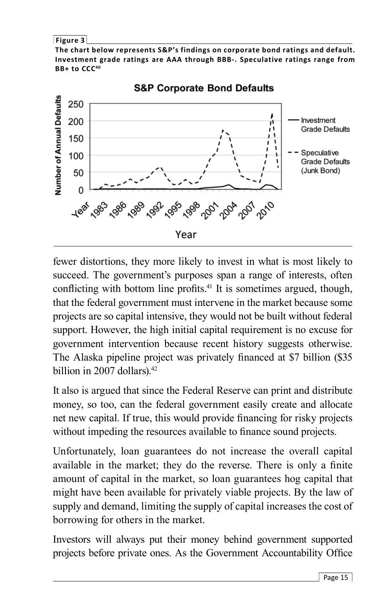**Figure 3**

**The chart below represents S&P's findings on corporate bond ratings and default. Investment grade ratings are AAA through BBB-. Speculative ratings range from BB+ to CCC40**



**S&P Corporate Bond Defaults** 

fewer distortions, they more likely to invest in what is most likely to succeed. The government's purposes span a range of interests, often conflicting with bottom line profits.<sup>41</sup> It is sometimes argued, though, that the federal government must intervene in the market because some projects are so capital intensive, they would not be built without federal support. However, the high initial capital requirement is no excuse for government intervention because recent history suggests otherwise. The Alaska pipeline project was privately financed at \$7 billion (\$35) billion in 2007 dollars). $42$ 

It also is argued that since the Federal Reserve can print and distribute money, so too, can the federal government easily create and allocate net new capital. If true, this would provide financing for risky projects without impeding the resources available to finance sound projects.

Unfortunately, loan guarantees do not increase the overall capital available in the market; they do the reverse. There is only a finite amount of capital in the market, so loan guarantees hog capital that might have been available for privately viable projects. By the law of supply and demand, limiting the supply of capital increases the cost of borrowing for others in the market.

Investors will always put their money behind government supported projects before private ones. As the Government Accountability Office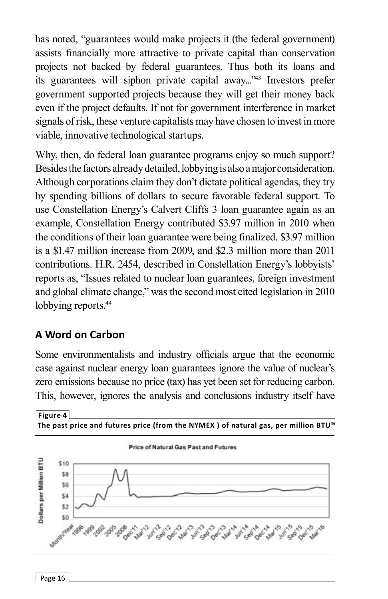has noted, "guarantees would make projects it (the federal government) assists financially more attractive to private capital than conservation projects not backed by federal guarantees. Thus both its loans and its guarantees will siphon private capital away..."43 Investors prefer government supported projects because they will get their money back even if the project defaults. If not for government interference in market signals of risk, these venture capitalists may have chosen to invest in more viable, innovative technological startups.

Why, then, do federal loan guarantee programs enjoy so much support? Besides the factors already detailed, lobbying is also a major consideration. Although corporations claim they don't dictate political agendas, they try by spending billions of dollars to secure favorable federal support. To use Constellation Energy's Calvert Cliffs 3 loan guarantee again as an example, Constellation Energy contributed \$3.97 million in 2010 when the conditions of their loan guarantee were being finalized. \$3.97 million is a \$1.47 million increase from 2009, and \$2.3 million more than 2011 contributions. H.R. 2454, described in Constellation Energy's lobbyists' reports as, "Issues related to nuclear loan guarantees, foreign investment and global climate change," was the second most cited legislation in 2010 lobbying reports.<sup>44</sup>

#### **A Word on Carbon**

Some environmentalists and industry officials argue that the economic case against nuclear energy loan guarantees ignore the value of nuclear's zero emissions because no price (tax) has yet been set for reducing carbon. This, however, ignores the analysis and conclusions industry itself have

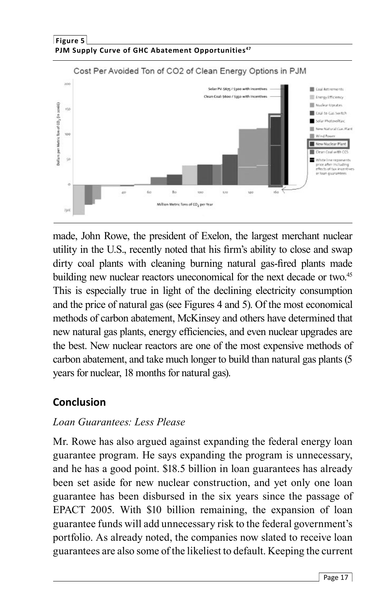

made, John Rowe, the president of Exelon, the largest merchant nuclear utility in the U.S., recently noted that his firm's ability to close and swap dirty coal plants with cleaning burning natural gas-fired plants made building new nuclear reactors uneconomical for the next decade or two.<sup>45</sup> This is especially true in light of the declining electricity consumption and the price of natural gas (see Figures 4 and 5). Of the most economical methods of carbon abatement, McKinsey and others have determined that new natural gas plants, energy efficiencies, and even nuclear upgrades are the best. New nuclear reactors are one of the most expensive methods of carbon abatement, and take much longer to build than natural gas plants (5 years for nuclear, 18 months for natural gas).

# **Conclusion**

#### *Loan Guarantees: Less Please*

Mr. Rowe has also argued against expanding the federal energy loan guarantee program. He says expanding the program is unnecessary, and he has a good point. \$18.5 billion in loan guarantees has already been set aside for new nuclear construction, and yet only one loan guarantee has been disbursed in the six years since the passage of EPACT 2005. With \$10 billion remaining, the expansion of loan guarantee funds will add unnecessary risk to the federal government's portfolio. As already noted, the companies now slated to receive loan guarantees are also some of the likeliest to default. Keeping the current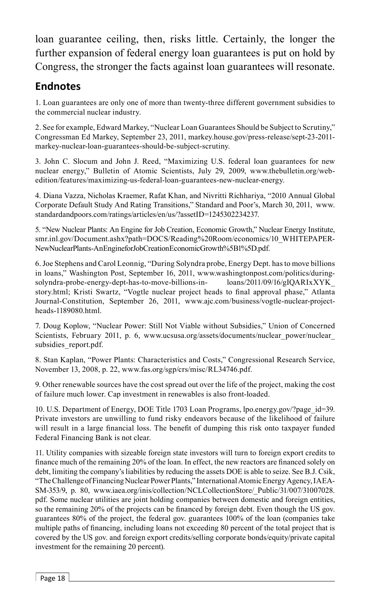loan guarantee ceiling, then, risks little. Certainly, the longer the further expansion of federal energy loan guarantees is put on hold by Congress, the stronger the facts against loan guarantees will resonate.

## **Endnotes**

1. Loan guarantees are only one of more than twenty-three different government subsidies to the commercial nuclear industry.

2. See for example, Edward Markey, "Nuclear Loan Guarantees Should be Subject to Scrutiny," Congressman Ed Markey, September 23, 2011, markey.house.gov/press-release/sept-23-2011 markey-nuclear-loan-guarantees-should-be-subject-scrutiny.

3. John C. Slocum and John J. Reed, "Maximizing U.S. federal loan guarantees for new nuclear energy," Bulletin of Atomic Scientists, July 29, 2009, www.thebulletin.org/webedition/features/maximizing-us-federal-loan-guarantees-new-nuclear-energy.

4. Diana Vazza, Nicholas Kraemer, Rafat Khan, and Nivritti Richhariya, "2010 Annual Global Corporate Default Study And Rating Transitions," Standard and Poor's, March 30, 2011, www. standardandpoors.com/ratings/articles/en/us/?assetID=1245302234237.

5. "New Nuclear Plants: An Engine for Job Creation, Economic Growth," Nuclear Energy Institute, smr.inl.gov/Document.ashx?path=DOCS/Reading%20Room/economics/10\_WHITEPAPER-NewNuclearPlants-AnEngineforJobCreationEconomicGrowth%5B1%5D.pdf.

6. Joe Stephens and Carol Leonnig, "During Solyndra probe, Energy Dept. has to move billions in loans," Washington Post, September 16, 2011, www.washingtonpost.com/politics/duringsolyndra-probe-energy-dept-has-to-move-billions-in- loans/2011/09/16/gIQARIxXYK\_ story.html; Kristi Swartz, "Vogtle nuclear project heads to final approval phase," Atlanta Journal-Constitution, September 26, 2011, www.ajc.com/business/vogtle-nuclear-projectheads-1189080.html.

7. Doug Koplow, "Nuclear Power: Still Not Viable without Subsidies," Union of Concerned Scientists, February 2011, p. 6, www.ucsusa.org/assets/documents/nuclear power/nuclear subsidies\_report.pdf.

8. Stan Kaplan, "Power Plants: Characteristics and Costs," Congressional Research Service, November 13, 2008, p. 22, www.fas.org/sgp/crs/misc/RL34746.pdf.

9. Other renewable sources have the cost spread out over the life of the project, making the cost of failure much lower. Cap investment in renewables is also front-loaded.

10. U.S. Department of Energy, DOE Title 1703 Loan Programs, lpo.energy.gov/?page\_id=39. Private investors are unwilling to fund risky endeavors because of the likelihood of failure will result in a large financial loss. The benefit of dumping this risk onto taxpayer funded Federal Financing Bank is not clear.

11. Utility companies with sizeable foreign state investors will turn to foreign export credits to finance much of the remaining 20% of the loan. In effect, the new reactors are financed solely on debt, limiting the company's liabilities by reducing the assets DOE is able to seize. See B.J. Csik, "The Challenge of Financing Nuclear Power Plants," International Atomic Energy Agency, IAEA-SM-353/9, p. 80, www.iaea.org/inis/collection/NCLCollectionStore/\_Public/31/007/31007028. pdf. Some nuclear utilities are joint holding companies between domestic and foreign entities, so the remaining 20% of the projects can be financed by foreign debt. Even though the US gov. guarantees 80% of the project, the federal gov. guarantees 100% of the loan (companies take multiple paths of financing, including loans not exceeding 80 percent of the total project that is covered by the US gov. and foreign export credits/selling corporate bonds/equity/private capital investment for the remaining 20 percent).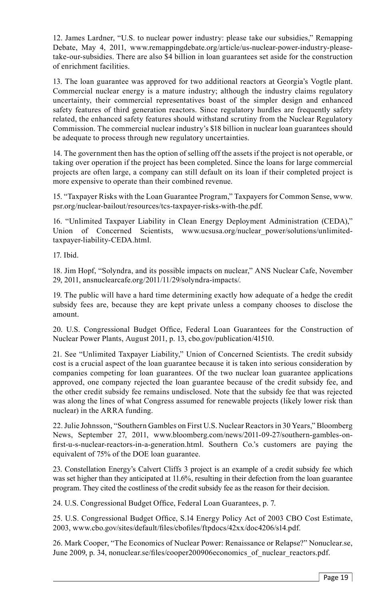12. James Lardner, "U.S. to nuclear power industry: please take our subsidies," Remapping Debate, May 4, 2011, www.remappingdebate.org/article/us-nuclear-power-industry-pleasetake-our-subsidies. There are also \$4 billion in loan guarantees set aside for the construction of enrichment facilities.

13. The loan guarantee was approved for two additional reactors at Georgia's Vogtle plant. Commercial nuclear energy is a mature industry; although the industry claims regulatory uncertainty, their commercial representatives boast of the simpler design and enhanced safety features of third generation reactors. Since regulatory hurdles are frequently safety related, the enhanced safety features should withstand scrutiny from the Nuclear Regulatory Commission. The commercial nuclear industry's \$18 billion in nuclear loan guarantees should be adequate to process through new regulatory uncertainties.

14. The government then has the option of selling off the assets if the project is not operable, or taking over operation if the project has been completed. Since the loans for large commercial projects are often large, a company can still default on its loan if their completed project is more expensive to operate than their combined revenue.

15. "Taxpayer Risks with the Loan Guarantee Program," Taxpayers for Common Sense, www. psr.org/nuclear-bailout/resources/tcs-taxpayer-risks-with-the.pdf.

16. "Unlimited Taxpayer Liability in Clean Energy Deployment Administration (CEDA)," Union of Concerned Scientists, www.ucsusa.org/nuclear\_power/solutions/unlimitedtaxpayer-liability-CEDA.html.

17. Ibid.

18. Jim Hopf, "Solyndra, and its possible impacts on nuclear," ANS Nuclear Cafe, November 29, 2011, ansnuclearcafe.org/2011/11/29/solyndra-impacts/.

19. The public will have a hard time determining exactly how adequate of a hedge the credit subsidy fees are, because they are kept private unless a company chooses to disclose the amount.

20. U.S. Congressional Budget Office, Federal Loan Guarantees for the Construction of Nuclear Power Plants, August 2011, p. 13, cbo.gov/publication/41510.

21. See "Unlimited Taxpayer Liability," Union of Concerned Scientists. The credit subsidy cost is a crucial aspect of the loan guarantee because it is taken into serious consideration by companies competing for loan guarantees. Of the two nuclear loan guarantee applications approved, one company rejected the loan guarantee because of the credit subsidy fee, and the other credit subsidy fee remains undisclosed. Note that the subsidy fee that was rejected was along the lines of what Congress assumed for renewable projects (likely lower risk than nuclear) in the ARRA funding.

22. Julie Johnsson, "Southern Gambles on First U.S. Nuclear Reactors in 30 Years," Bloomberg News, September 27, 2011, www.bloomberg.com/news/2011-09-27/southern-gambles-onfirst-u-s-nuclear-reactors-in-a-generation.html. Southern Co.'s customers are paying the equivalent of 75% of the DOE loan guarantee.

23. Constellation Energy's Calvert Cliffs 3 project is an example of a credit subsidy fee which was set higher than they anticipated at 11.6%, resulting in their defection from the loan guarantee program. They cited the costliness of the credit subsidy fee as the reason for their decision.

24. U.S. Congressional Budget Office, Federal Loan Guarantees, p. 7.

25. U.S. Congressional Budget Office, S.14 Energy Policy Act of 2003 CBO Cost Estimate, 2003, www.cbo.gov/sites/default/files/cbofiles/ftpdocs/42xx/doc4206/s14.pdf.

26. Mark Cooper, "The Economics of Nuclear Power: Renaissance or Relapse?" Nonuclear.se, June 2009, p. 34, nonuclear.se/files/cooper200906economics of nuclear reactors.pdf.